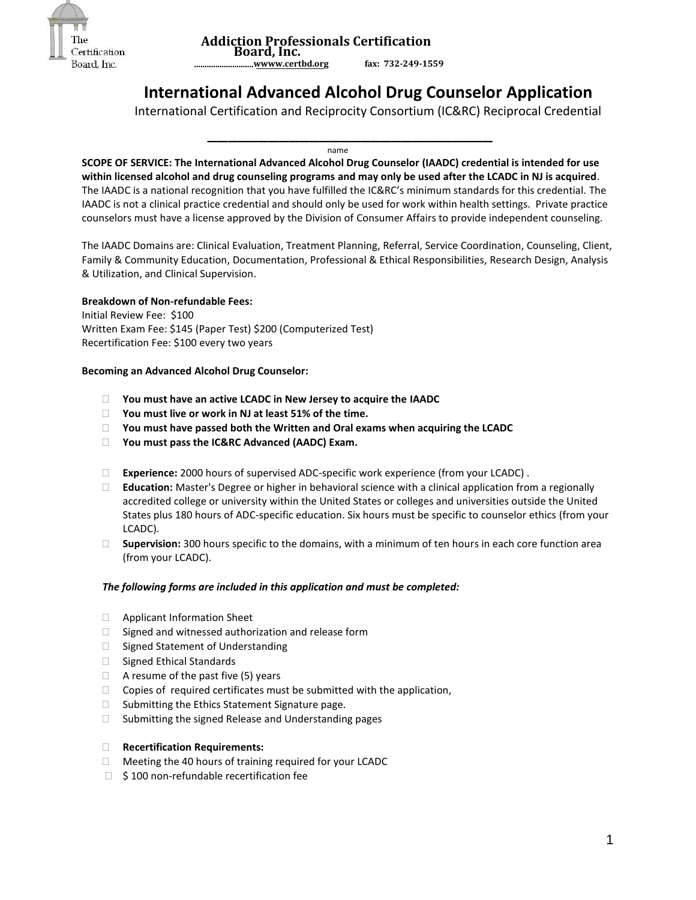

 **Addiction Professionals Certification Board, Inc. ............................w[www.certbd.org](http://www.certbd.org/) fax: 732-249-1559** 

# **International Advanced Alcohol Drug Counselor Application**

International Certification and Reciprocity Consortium (IC&RC) Reciprocal Credential

name and the contract of the contract of the contract of the contract of the contract of the contract of the c

\_\_\_\_\_\_\_\_\_\_\_\_\_\_\_\_\_\_\_\_\_\_\_\_\_\_\_\_

**SCOPE OF SERVICE: The International Advanced Alcohol Drug Counselor (IAADC) credential is intended for use within licensed alcohol and drug counseling programs and may only be used after the LCADC in NJ is acquired**. The IAADC is a national recognition that you have fulfilled the IC&RC's minimum standards for this credential. The IAADC is not a clinical practice credential and should only be used for work within health settings. Private practice counselors must have a license approved by the Division of Consumer Affairs to provide independent counseling.

The IAADC Domains are: Clinical Evaluation, Treatment Planning, Referral, Service Coordination, Counseling, Client, Family & Community Education, Documentation, Professional & Ethical Responsibilities, Research Design, Analysis & Utilization, and Clinical Supervision.

## **Breakdown of Non-refundable Fees:**

Initial Review Fee: \$100 Written Exam Fee: \$145 (Paper Test) \$200 (Computerized Test) Recertification Fee: \$100 every two years

## **Becoming an Advanced Alcohol Drug Counselor:**

- **You must have an active LCADC in New Jersey to acquire the IAADC**
- **You must live or work in NJ at least 51% of the time.**
- **You must have passed both the Written and Oral exams when acquiring the LCADC**
- **You must pass the IC&RC Advanced (AADC) Exam.**
- **Experience:** 2000 hours of supervised ADC-specific work experience (from your LCADC) .
- **Education:** Master's Degree or higher in behavioral science with a clinical application from a regionally accredited college or university within the United States or colleges and universities outside the United States plus 180 hours of ADC-specific education. Six hours must be specific to counselor ethics (from your LCADC).
- **Supervision:** 300 hours specific to the domains, with a minimum of ten hours in each core function area (from your LCADC).

## *The following forms are included in this application and must be completed:*

- □ Applicant Information Sheet
- $\Box$  Signed and witnessed authorization and release form
- $\Box$  Signed Statement of Understanding
- □ Signed Ethical Standards
- $\Box$  A resume of the past five (5) years
- $\Box$  Copies of required certificates must be submitted with the application,
- $\Box$  Submitting the Ethics Statement Signature page.
- □ Submitting the signed Release and Understanding pages
- **Recertification Requirements:**
- $\Box$  Meeting the 40 hours of training required for your LCADC
- $\Box$  \$100 non-refundable recertification fee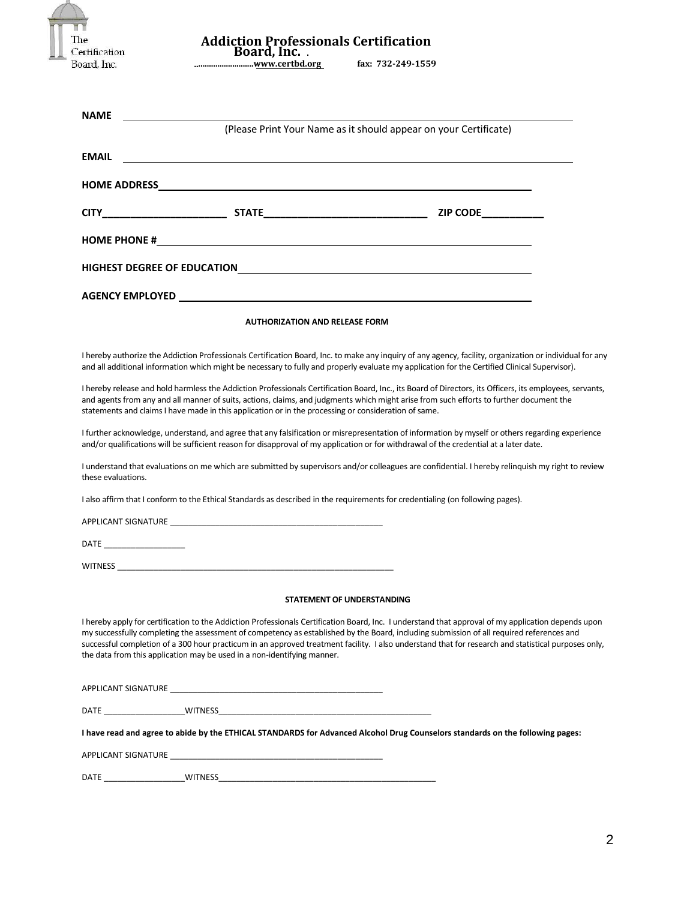| Certification<br>Board, Inc. | <b>Addiction Professionals Certification</b><br>Board, Inc. .                                                                                                                                                                                                                                                                                                    | fax: 732-249-1559                                                                                                                                                                                                                                                                                                                                                                                                                                      |
|------------------------------|------------------------------------------------------------------------------------------------------------------------------------------------------------------------------------------------------------------------------------------------------------------------------------------------------------------------------------------------------------------|--------------------------------------------------------------------------------------------------------------------------------------------------------------------------------------------------------------------------------------------------------------------------------------------------------------------------------------------------------------------------------------------------------------------------------------------------------|
|                              |                                                                                                                                                                                                                                                                                                                                                                  |                                                                                                                                                                                                                                                                                                                                                                                                                                                        |
| <b>NAME</b>                  |                                                                                                                                                                                                                                                                                                                                                                  | (Please Print Your Name as it should appear on your Certificate)                                                                                                                                                                                                                                                                                                                                                                                       |
| <b>EMAIL</b>                 |                                                                                                                                                                                                                                                                                                                                                                  |                                                                                                                                                                                                                                                                                                                                                                                                                                                        |
|                              |                                                                                                                                                                                                                                                                                                                                                                  |                                                                                                                                                                                                                                                                                                                                                                                                                                                        |
|                              |                                                                                                                                                                                                                                                                                                                                                                  |                                                                                                                                                                                                                                                                                                                                                                                                                                                        |
|                              |                                                                                                                                                                                                                                                                                                                                                                  |                                                                                                                                                                                                                                                                                                                                                                                                                                                        |
|                              |                                                                                                                                                                                                                                                                                                                                                                  |                                                                                                                                                                                                                                                                                                                                                                                                                                                        |
|                              |                                                                                                                                                                                                                                                                                                                                                                  |                                                                                                                                                                                                                                                                                                                                                                                                                                                        |
|                              | <b>AUTHORIZATION AND RELEASE FORM</b>                                                                                                                                                                                                                                                                                                                            |                                                                                                                                                                                                                                                                                                                                                                                                                                                        |
|                              | statements and claims I have made in this application or in the processing or consideration of same.                                                                                                                                                                                                                                                             | I hereby release and hold harmless the Addiction Professionals Certification Board, Inc., its Board of Directors, its Officers, its employees, servants,<br>and agents from any and all manner of suits, actions, claims, and judgments which might arise from such efforts to further document the                                                                                                                                                    |
| these evaluations.           | I also affirm that I conform to the Ethical Standards as described in the requirements for credentialing (on following pages).<br>APPLICANT SIGNATURE CONTRACT AND A RESIDENCE AND A REPORT OF THE CONTRACT OF THE CONTRACT OF THE CONTRACT OF THE CONTRACT OF THE CONTRACT OF THE CONTRACT OF THE CONTRACT OF THE CONTRACT OF THE CONTRACT OF THE CONTRACT OF T | and/or qualifications will be sufficient reason for disapproval of my application or for withdrawal of the credential at a later date.                                                                                                                                                                                                                                                                                                                 |
|                              |                                                                                                                                                                                                                                                                                                                                                                  | I further acknowledge, understand, and agree that any falsification or misrepresentation of information by myself or others regarding experience<br>I understand that evaluations on me which are submitted by supervisors and/or colleagues are confidential. I hereby relinguish my right to review                                                                                                                                                  |
|                              | WITNESS <b>Example 2018</b> The contract of the contract of the contract of the contract of the contract of the contract of the contract of the contract of the contract of the contract of the contract of the contract of the con                                                                                                                              |                                                                                                                                                                                                                                                                                                                                                                                                                                                        |
|                              | STATEMENT OF UNDERSTANDING                                                                                                                                                                                                                                                                                                                                       |                                                                                                                                                                                                                                                                                                                                                                                                                                                        |
|                              | the data from this application may be used in a non-identifying manner.                                                                                                                                                                                                                                                                                          | I hereby apply for certification to the Addiction Professionals Certification Board, Inc. I understand that approval of my application depends upon<br>my successfully completing the assessment of competency as established by the Board, including submission of all required references and<br>successful completion of a 300 hour practicum in an approved treatment facility. I also understand that for research and statistical purposes only, |
|                              |                                                                                                                                                                                                                                                                                                                                                                  |                                                                                                                                                                                                                                                                                                                                                                                                                                                        |
|                              |                                                                                                                                                                                                                                                                                                                                                                  |                                                                                                                                                                                                                                                                                                                                                                                                                                                        |
|                              |                                                                                                                                                                                                                                                                                                                                                                  | I have read and agree to abide by the ETHICAL STANDARDS for Advanced Alcohol Drug Counselors standards on the following pages:                                                                                                                                                                                                                                                                                                                         |
|                              |                                                                                                                                                                                                                                                                                                                                                                  |                                                                                                                                                                                                                                                                                                                                                                                                                                                        |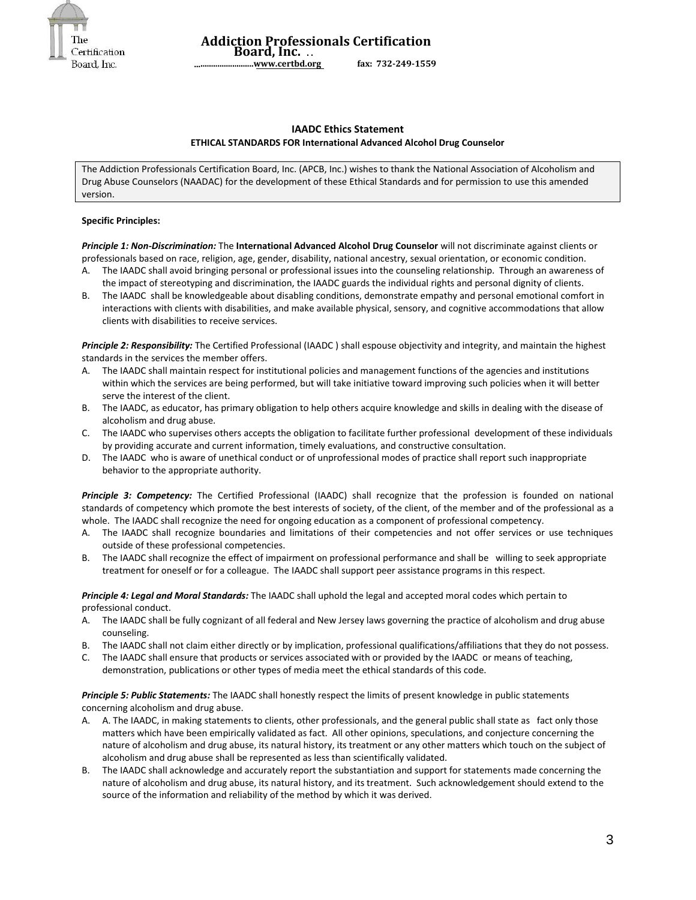

 **Addiction Professionals Certification Board, Inc. . . ............................[www.certbd.org](http://www.certbd.org/) fax: 732-249-1559** 

#### **IAADC Ethics Statement ETHICAL STANDARDS FOR International Advanced Alcohol Drug Counselor**

The Addiction Professionals Certification Board, Inc. (APCB, Inc.) wishes to thank the National Association of Alcoholism and Drug Abuse Counselors (NAADAC) for the development of these Ethical Standards and for permission to use this amended version.

#### **Specific Principles:**

*Principle 1: Non-Discrimination:* The **International Advanced Alcohol Drug Counselor** will not discriminate against clients or professionals based on race, religion, age, gender, disability, national ancestry, sexual orientation, or economic condition.

- A. The IAADC shall avoid bringing personal or professional issues into the counseling relationship. Through an awareness of the impact of stereotyping and discrimination, the IAADC guards the individual rights and personal dignity of clients.
- B. The IAADC shall be knowledgeable about disabling conditions, demonstrate empathy and personal emotional comfort in interactions with clients with disabilities, and make available physical, sensory, and cognitive accommodations that allow clients with disabilities to receive services.

*Principle 2: Responsibility:* The Certified Professional (IAADC ) shall espouse objectivity and integrity, and maintain the highest standards in the services the member offers.

- The IAADC shall maintain respect for institutional policies and management functions of the agencies and institutions within which the services are being performed, but will take initiative toward improving such policies when it will better serve the interest of the client.
- B. The IAADC, as educator, has primary obligation to help others acquire knowledge and skills in dealing with the disease of alcoholism and drug abuse.
- C. The IAADC who supervises others accepts the obligation to facilitate further professional development of these individuals by providing accurate and current information, timely evaluations, and constructive consultation.
- D. The IAADC who is aware of unethical conduct or of unprofessional modes of practice shall report such inappropriate behavior to the appropriate authority.

*Principle 3: Competency:* The Certified Professional (IAADC) shall recognize that the profession is founded on national standards of competency which promote the best interests of society, of the client, of the member and of the professional as a whole. The IAADC shall recognize the need for ongoing education as a component of professional competency.

- A. The IAADC shall recognize boundaries and limitations of their competencies and not offer services or use techniques outside of these professional competencies.
- B. The IAADC shall recognize the effect of impairment on professional performance and shall be willing to seek appropriate treatment for oneself or for a colleague. The IAADC shall support peer assistance programs in this respect.

*Principle 4: Legal and Moral Standards:* The IAADC shall uphold the legal and accepted moral codes which pertain to professional conduct.

- A. The IAADC shall be fully cognizant of all federal and New Jersey laws governing the practice of alcoholism and drug abuse counseling.
- B. The IAADC shall not claim either directly or by implication, professional qualifications/affiliations that they do not possess.
- C. The IAADC shall ensure that products or services associated with or provided by the IAADC or means of teaching, demonstration, publications or other types of media meet the ethical standards of this code.

*Principle 5: Public Statements:* The IAADC shall honestly respect the limits of present knowledge in public statements concerning alcoholism and drug abuse.

- A. A. The IAADC, in making statements to clients, other professionals, and the general public shall state as fact only those matters which have been empirically validated as fact. All other opinions, speculations, and conjecture concerning the nature of alcoholism and drug abuse, its natural history, its treatment or any other matters which touch on the subject of alcoholism and drug abuse shall be represented as less than scientifically validated.
- The IAADC shall acknowledge and accurately report the substantiation and support for statements made concerning the nature of alcoholism and drug abuse, its natural history, and its treatment. Such acknowledgement should extend to the source of the information and reliability of the method by which it was derived.